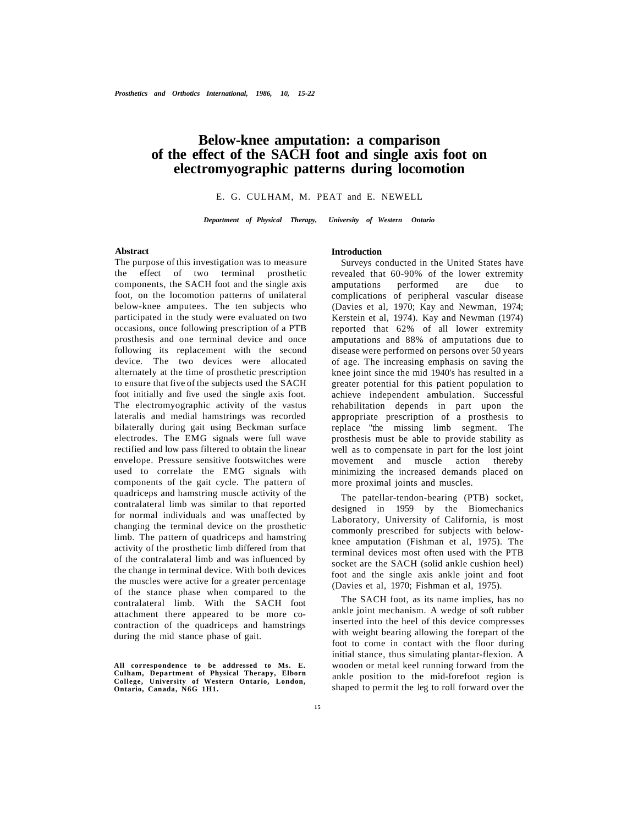# **Below-knee amputation: a comparison of the effect of the SACH foot and single axis foot on electromyographic patterns during locomotion**

# E. G. CULHAM, M. PEAT and E. NEWELL

*Department of Physical Therapy, University of Western Ontario* 

## **Abstract**

The purpose of this investigation was to measure the effect of two terminal prosthetic components, the SACH foot and the single axis foot, on the locomotion patterns of unilateral below-knee amputees. The ten subjects who participated in the study were evaluated on two occasions, once following prescription of a PTB prosthesis and one terminal device and once following its replacement with the second device. The two devices were allocated alternately at the time of prosthetic prescription to ensure that five of the subjects used the SACH foot initially and five used the single axis foot. The electromyographic activity of the vastus lateralis and medial hamstrings was recorded bilaterally during gait using Beckman surface electrodes. The EMG signals were full wave rectified and low pass filtered to obtain the linear envelope. Pressure sensitive footswitches were used to correlate the EMG signals with components of the gait cycle. The pattern of quadriceps and hamstring muscle activity of the contralateral limb was similar to that reported for normal individuals and was unaffected by changing the terminal device on the prosthetic limb. The pattern of quadriceps and hamstring activity of the prosthetic limb differed from that of the contralateral limb and was influenced by the change in terminal device. With both devices the muscles were active for a greater percentage of the stance phase when compared to the contralateral limb. With the SACH foot attachment there appeared to be more cocontraction of the quadriceps and hamstrings during the mid stance phase of gait.

#### **Introduction**

Surveys conducted in the United States have revealed that 60-90% of the lower extremity amputations performed are due to complications of peripheral vascular disease (Davies et al, 1970; Kay and Newman, 1974; Kerstein et al, 1974). Kay and Newman (1974) reported that 62% of all lower extremity amputations and 88% of amputations due to disease were performed on persons over 50 years of age. The increasing emphasis on saving the knee joint since the mid 1940's has resulted in a greater potential for this patient population to achieve independent ambulation. Successful rehabilitation depends in part upon the appropriate prescription of a prosthesis to replace "the missing limb segment. The prosthesis must be able to provide stability as well as to compensate in part for the lost joint movement and muscle action thereby minimizing the increased demands placed on more proximal joints and muscles.

The patellar-tendon-bearing (PTB) socket, designed in 1959 by the Biomechanics Laboratory, University of California, is most commonly prescribed for subjects with belowknee amputation (Fishman et al, 1975). The terminal devices most often used with the PTB socket are the SACH (solid ankle cushion heel) foot and the single axis ankle joint and foot (Davies et al, 1970; Fishman et al, 1975).

The SACH foot, as its name implies, has no ankle joint mechanism. A wedge of soft rubber inserted into the heel of this device compresses with weight bearing allowing the forepart of the foot to come in contact with the floor during initial stance, thus simulating plantar-flexion. A wooden or metal keel running forward from the ankle position to the mid-forefoot region is shaped to permit the leg to roll forward over the

**All correspondence to be addressed to Ms. E. Culham, Department of Physical Therapy, Elborn College, University of Western Ontario, London, Ontario, Canada, N6G 1H1.**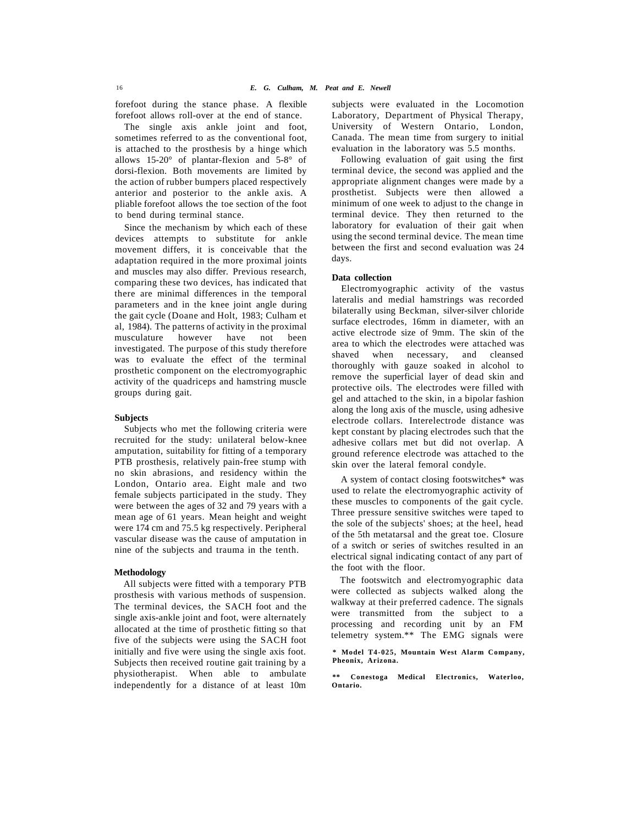forefoot during the stance phase. A flexible forefoot allows roll-over at the end of stance.

The single axis ankle joint and foot, sometimes referred to as the conventional foot, is attached to the prosthesis by a hinge which allows 15-20° of plantar-flexion and 5-8° of dorsi-flexion. Both movements are limited by the action of rubber bumpers placed respectively anterior and posterior to the ankle axis. A pliable forefoot allows the toe section of the foot to bend during terminal stance.

Since the mechanism by which each of these devices attempts to substitute for ankle movement differs, it is conceivable that the adaptation required in the more proximal joints and muscles may also differ. Previous research, comparing these two devices, has indicated that there are minimal differences in the temporal parameters and in the knee joint angle during the gait cycle (Doane and Holt, 1983; Culham et al, 1984). The patterns of activity in the proximal musculature however have not been investigated. The purpose of this study therefore was to evaluate the effect of the terminal prosthetic component on the electromyographic activity of the quadriceps and hamstring muscle groups during gait.

#### **Subjects**

Subjects who met the following criteria were recruited for the study: unilateral below-knee amputation, suitability for fitting of a temporary PTB prosthesis, relatively pain-free stump with no skin abrasions, and residency within the London, Ontario area. Eight male and two female subjects participated in the study. They were between the ages of 32 and 79 years with a mean age of 61 years. Mean height and weight were 174 cm and 75.5 kg respectively. Peripheral vascular disease was the cause of amputation in nine of the subjects and trauma in the tenth.

## **Methodology**

All subjects were fitted with a temporary PTB prosthesis with various methods of suspension. The terminal devices, the SACH foot and the single axis-ankle joint and foot, were alternately allocated at the time of prosthetic fitting so that five of the subjects were using the SACH foot initially and five were using the single axis foot. Subjects then received routine gait training by a physiotherapist. When able to ambulate independently for a distance of at least 10m

subjects were evaluated in the Locomotion Laboratory, Department of Physical Therapy, University of Western Ontario, London, Canada. The mean time from surgery to initial evaluation in the laboratory was 5.5 months.

Following evaluation of gait using the first terminal device, the second was applied and the appropriate alignment changes were made by a prosthetist. Subjects were then allowed a minimum of one week to adjust to the change in terminal device. They then returned to the laboratory for evaluation of their gait when using the second terminal device. The mean time between the first and second evaluation was 24 days.

#### **Data collection**

Electromyographic activity of the vastus lateralis and medial hamstrings was recorded bilaterally using Beckman, silver-silver chloride surface electrodes, 16mm in diameter, with an active electrode size of 9mm. The skin of the area to which the electrodes were attached was shaved when necessary, and cleansed thoroughly with gauze soaked in alcohol to remove the superficial layer of dead skin and protective oils. The electrodes were filled with gel and attached to the skin, in a bipolar fashion along the long axis of the muscle, using adhesive electrode collars. Interelectrode distance was kept constant by placing electrodes such that the adhesive collars met but did not overlap. A ground reference electrode was attached to the skin over the lateral femoral condyle.

A system of contact closing footswitches\* was used to relate the electromyographic activity of these muscles to components of the gait cycle. Three pressure sensitive switches were taped to the sole of the subjects' shoes; at the heel, head of the 5th metatarsal and the great toe. Closure of a switch or series of switches resulted in an electrical signal indicating contact of any part of the foot with the floor.

The footswitch and electromyographic data were collected as subjects walked along the walkway at their preferred cadence. The signals were transmitted from the subject to a processing and recording unit by an FM telemetry system.\*\* The EMG signals were

**\* Model T4-025, Mountain West Alarm Company, Pheonix, Arizona.** 

**\*\* Conestoga Medical Electronics, Waterloo, Ontario.**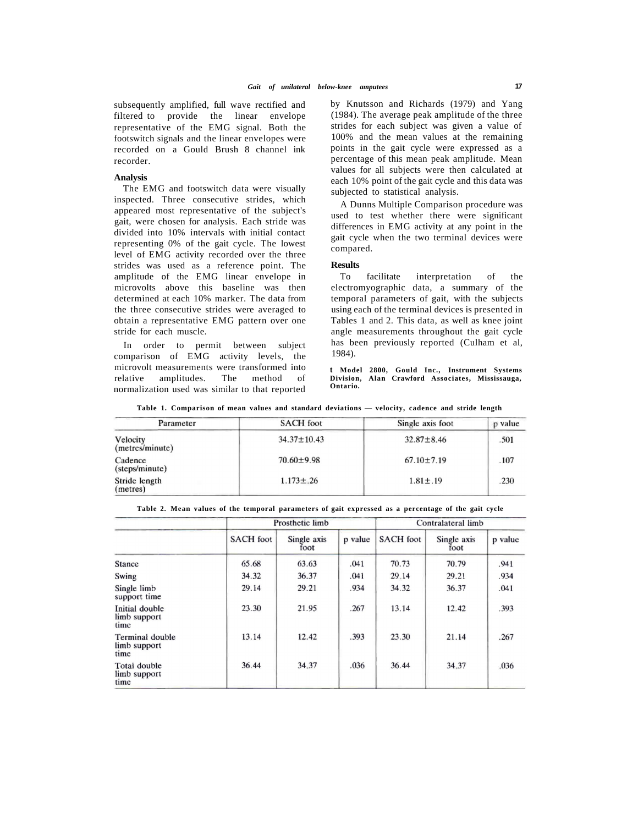subsequently amplified, full wave rectified and filtered to provide the linear envelope representative of the EMG signal. Both the footswitch signals and the linear envelopes were recorded on a Gould Brush 8 channel ink recorder.

#### **Analysis**

The EMG and footswitch data were visually inspected. Three consecutive strides, which appeared most representative of the subject's gait, were chosen for analysis. Each stride was divided into 10% intervals with initial contact representing 0% of the gait cycle. The lowest level of EMG activity recorded over the three strides was used as a reference point. The amplitude of the EMG linear envelope in microvolts above this baseline was then determined at each 10% marker. The data from the three consecutive strides were averaged to obtain a representative EMG pattern over one stride for each muscle.

In order to permit between subject comparison of EMG activity levels, the microvolt measurements were transformed into<br>relative amplitudes. The method of relative amplitudes. The method of normalization used was similar to that reported by Knutsson and Richards (1979) and Yang (1984). The average peak amplitude of the three strides for each subject was given a value of 100% and the mean values at the remaining points in the gait cycle were expressed as a percentage of this mean peak amplitude. Mean values for all subjects were then calculated at each 10% point of the gait cycle and this data was subjected to statistical analysis.

A Dunns Multiple Comparison procedure was used to test whether there were significant differences in EMG activity at any point in the gait cycle when the two terminal devices were compared.

#### **Results**

To facilitate interpretation of the electromyographic data, a summary of the temporal parameters of gait, with the subjects using each of the terminal devices is presented in Tables 1 and 2. This data, as well as knee joint angle measurements throughout the gait cycle has been previously reported (Culham et al, 1984).

**t Model 2800, Gould Inc., Instrument Systems Division, Alan Crawford Associates, Mississauga, Ontario.** 

**Table 1. Comparison of mean values and standard deviations — velocity, cadence and stride length** 

| Parameter                   | <b>SACH</b> foot  | Single axis foot | p value |  |
|-----------------------------|-------------------|------------------|---------|--|
| Velocity<br>(metres/minute) | $34.37 \pm 10.43$ | $32.87 \pm 8.46$ | .501    |  |
| Cadence<br>(steps/minute)   | $70.60 \pm 9.98$  | $67.10 \pm 7.19$ | .107    |  |
| Stride length<br>(metres)   | $1.173 \pm .26$   | $1.81 \pm .19$   | .230    |  |

|                                         |                  | Prosthetic limb     |         |                  | Contralateral limb  |         |  |
|-----------------------------------------|------------------|---------------------|---------|------------------|---------------------|---------|--|
|                                         | <b>SACH</b> foot | Single axis<br>foot | p value | <b>SACH</b> foot | Single axis<br>foot | p value |  |
| <b>Stance</b>                           | 65.68            | 63.63               | .041    | 70.73            | 70.79               | .941    |  |
| Swing                                   | 34.32            | 36.37               | .041    | 29.14            | 29.21               | .934    |  |
| Single limb<br>support time             | 29.14            | 29.21               | .934    | 34.32            | 36.37               | .041    |  |
| Initial double<br>limb support<br>time  | 23.30            | 21.95               | .267    | 13.14            | 12.42               | .393    |  |
| Terminal double<br>limb support<br>time | 13.14            | 12.42               | .393    | 23.30            | 21.14               | .267    |  |
| Total double<br>limb support<br>time    | 36.44            | 34.37               | .036    | 36.44            | 34.37               | .036    |  |

**Table 2. Mean values of the temporal parameters of gait expressed as a percentage of the gait cycle**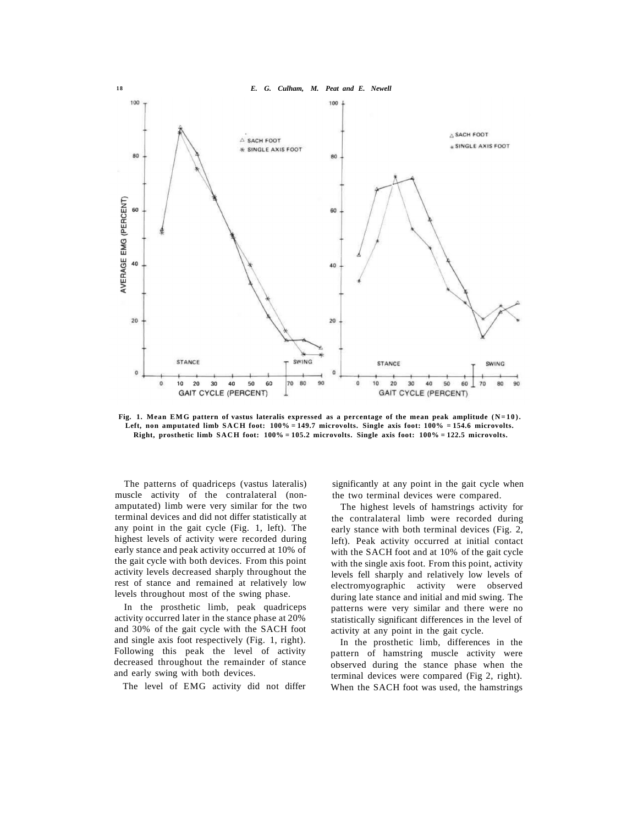

**Fig. 1. Mean EMG pattern of vastus lateralis expressed as a percentage of the mean peak amplitude (N=10). Left, non amputated limb SACH foot: 100% = 149.7 microvolts. Single axis foot: 100% = 154.6 microvolts. Right, prosthetic limb SACH foot: 100% = 105.2 microvolts. Single axis foot: 100% = 122.5 microvolts.** 

The patterns of quadriceps (vastus lateralis) muscle activity of the contralateral (nonamputated) limb were very similar for the two terminal devices and did not differ statistically at any point in the gait cycle (Fig. 1, left). The highest levels of activity were recorded during early stance and peak activity occurred at 10% of the gait cycle with both devices. From this point activity levels decreased sharply throughout the rest of stance and remained at relatively low levels throughout most of the swing phase.

In the prosthetic limb, peak quadriceps activity occurred later in the stance phase at 20% and 30% of the gait cycle with the SACH foot and single axis foot respectively (Fig. 1, right). Following this peak the level of activity decreased throughout the remainder of stance and early swing with both devices.

The level of EMG activity did not differ

significantly at any point in the gait cycle when the two terminal devices were compared.

The highest levels of hamstrings activity for the contralateral limb were recorded during early stance with both terminal devices (Fig. 2, left). Peak activity occurred at initial contact with the SACH foot and at 10% of the gait cycle with the single axis foot. From this point, activity levels fell sharply and relatively low levels of electromyographic activity were observed during late stance and initial and mid swing. The patterns were very similar and there were no statistically significant differences in the level of activity at any point in the gait cycle.

In the prosthetic limb, differences in the pattern of hamstring muscle activity were observed during the stance phase when the terminal devices were compared (Fig 2, right). When the SACH foot was used, the hamstrings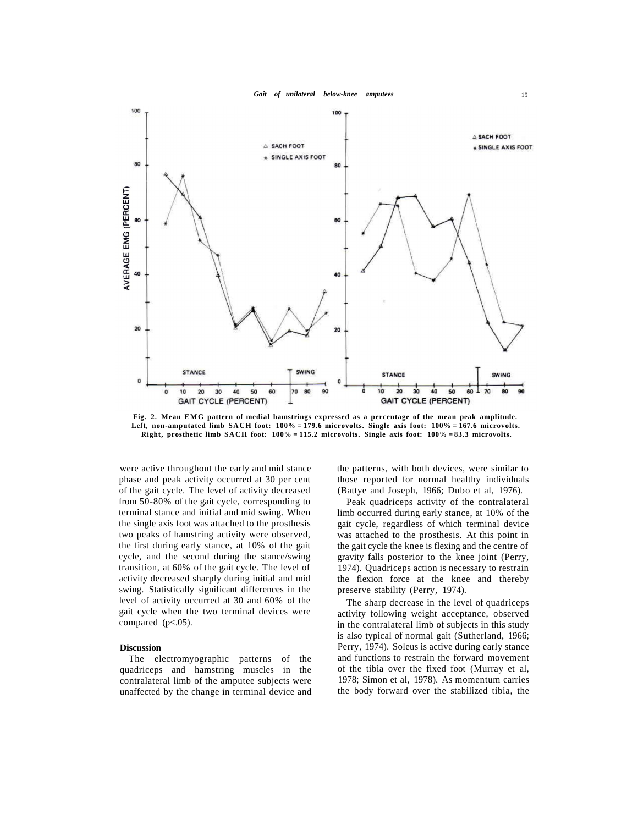



**Fig. 2. Mean EMG pattern of medial hamstrings expressed as a percentage of the mean peak amplitude.**  Left, non-amputated limb SACH foot:  $100\% = 179.6$  microvolts. Single axis foot:  $100\% = 167.6$  microvolts. **Right, prosthetic limb SACH foot: 100% = 115.2 microvolts. Single axis foot: 100% = 83.3 microvolts.** 

were active throughout the early and mid stance phase and peak activity occurred at 30 per cent of the gait cycle. The level of activity decreased from 50-80% of the gait cycle, corresponding to terminal stance and initial and mid swing. When the single axis foot was attached to the prosthesis two peaks of hamstring activity were observed, the first during early stance, at 10% of the gait cycle, and the second during the stance/swing transition, at 60% of the gait cycle. The level of activity decreased sharply during initial and mid swing. Statistically significant differences in the level of activity occurred at 30 and 60% of the gait cycle when the two terminal devices were compared  $(p<.05)$ .

#### **Discussion**

The electromyographic patterns of the quadriceps and hamstring muscles in the contralateral limb of the amputee subjects were unaffected by the change in terminal device and the patterns, with both devices, were similar to those reported for normal healthy individuals (Battye and Joseph, 1966; Dubo et al, 1976).

Peak quadriceps activity of the contralateral limb occurred during early stance, at 10% of the gait cycle, regardless of which terminal device was attached to the prosthesis. At this point in the gait cycle the knee is flexing and the centre of gravity falls posterior to the knee joint (Perry, 1974). Quadriceps action is necessary to restrain the flexion force at the knee and thereby preserve stability (Perry, 1974).

The sharp decrease in the level of quadriceps activity following weight acceptance, observed in the contralateral limb of subjects in this study is also typical of normal gait (Sutherland, 1966; Perry, 1974). Soleus is active during early stance and functions to restrain the forward movement of the tibia over the fixed foot (Murray et al, 1978; Simon et al, 1978). As momentum carries the body forward over the stabilized tibia, the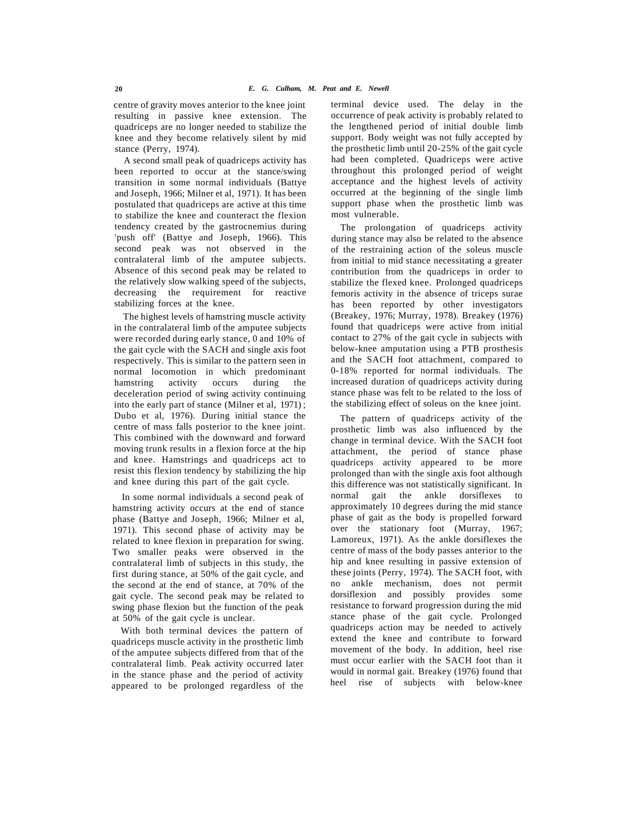centre of gravity moves anterior to the knee joint resulting in passive knee extension. The quadriceps are no longer needed to stabilize the knee and they become relatively silent by mid stance (Perry, 1974).

A second small peak of quadriceps activity has been reported to occur at the stance/swing transition in some normal individuals (Battye and Joseph, 1966; Milner et al, 1971). It has been postulated that quadriceps are active at this time to stabilize the knee and counteract the flexion tendency created by the gastrocnemius during 'push off' (Battye and Joseph, 1966). This second peak was not observed in the contralateral limb of the amputee subjects. Absence of this second peak may be related to the relatively slow walking speed of the subjects, decreasing the requirement for reactive stabilizing forces at the knee.

The highest levels of hamstring muscle activity in the contralateral limb of the amputee subjects were recorded during early stance, 0 and 10% of the gait cycle with the SACH and single axis foot respectively. This is similar to the pattern seen in normal locomotion in which predominant hamstring activity occurs during the deceleration period of swing activity continuing into the early part of stance (Milner et al, 1971) ; Dubo et al, 1976). During initial stance the centre of mass falls posterior to the knee joint. This combined with the downward and forward moving trunk results in a flexion force at the hip and knee. Hamstrings and quadriceps act to resist this flexion tendency by stabilizing the hip and knee during this part of the gait cycle.

In some normal individuals a second peak of hamstring activity occurs at the end of stance phase (Battye and Joseph, 1966; Milner et al, 1971). This second phase of activity may be related to knee flexion in preparation for swing. Two smaller peaks were observed in the contralateral limb of subjects in this study, the first during stance, at 50% of the gait cycle, and the second at the end of stance, at 70% of the gait cycle. The second peak may be related to swing phase flexion but the function of the peak at 50% of the gait cycle is unclear.

With both terminal devices the pattern of quadriceps muscle activity in the prosthetic limb of the amputee subjects differed from that of the contralateral limb. Peak activity occurred later in the stance phase and the period of activity appeared to be prolonged regardless of the

terminal device used. The delay in the occurrence of peak activity is probably related to the lengthened period of initial double limb support. Body weight was not fully accepted by the prosthetic limb until 20-25% of the gait cycle had been completed. Quadriceps were active throughout this prolonged period of weight acceptance and the highest levels of activity occurred at the beginning of the single limb support phase when the prosthetic limb was most vulnerable.

The prolongation of quadriceps activity during stance may also be related to the absence of the restraining action of the soleus muscle from initial to mid stance necessitating a greater contribution from the quadriceps in order to stabilize the flexed knee. Prolonged quadriceps femoris activity in the absence of triceps surae has been reported by other investigators (Breakey, 1976; Murray, 1978). Breakey (1976) found that quadriceps were active from initial contact to 27% of the gait cycle in subjects with below-knee amputation using a PTB prosthesis and the SACH foot attachment, compared to 0-18% reported for normal individuals. The increased duration of quadriceps activity during stance phase was felt to be related to the loss of the stabilizing effect of soleus on the knee joint.

The pattern of quadriceps activity of the prosthetic limb was also influenced by the change in terminal device. With the SACH foot attachment, the period of stance phase quadriceps activity appeared to be more prolonged than with the single axis foot although this difference was not statistically significant. In normal gait the ankle dorsiflexes to approximately 10 degrees during the mid stance phase of gait as the body is propelled forward over the stationary foot (Murray, 1967; Lamoreux, 1971). As the ankle dorsiflexes the centre of mass of the body passes anterior to the hip and knee resulting in passive extension of these joints (Perry, 1974). The SACH foot, with no ankle mechanism, does not permit dorsiflexion and possibly provides some resistance to forward progression during the mid stance phase of the gait cycle. Prolonged quadriceps action may be needed to actively extend the knee and contribute to forward movement of the body. In addition, heel rise must occur earlier with the SACH foot than it would in normal gait. Breakey (1976) found that heel rise of subjects with below-knee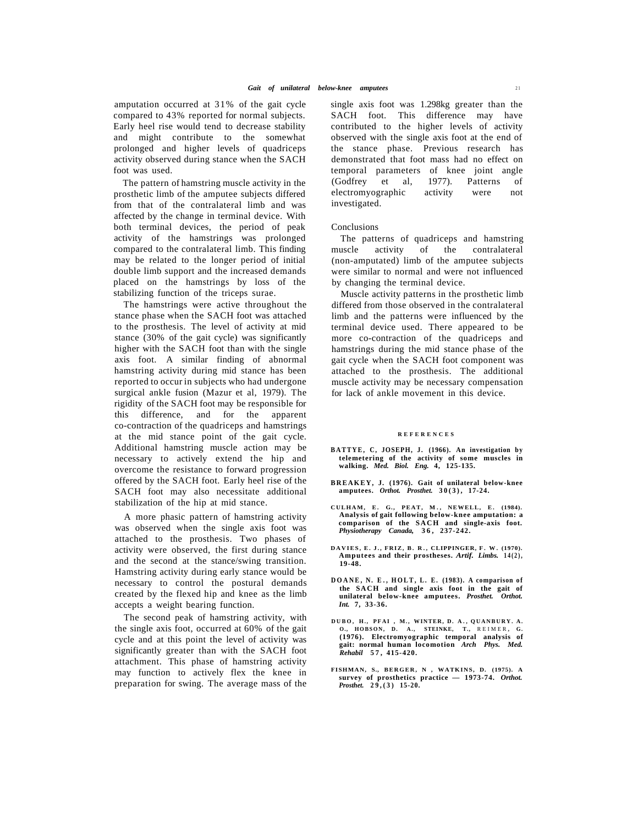amputation occurred at 31% of the gait cycle compared to 43% reported for normal subjects. Early heel rise would tend to decrease stability and might contribute to the somewhat prolonged and higher levels of quadriceps activity observed during stance when the SACH foot was used.

The pattern of hamstring muscle activity in the prosthetic limb of the amputee subjects differed from that of the contralateral limb and was affected by the change in terminal device. With both terminal devices, the period of peak activity of the hamstrings was prolonged compared to the contralateral limb. This finding may be related to the longer period of initial double limb support and the increased demands placed on the hamstrings by loss of the stabilizing function of the triceps surae.

The hamstrings were active throughout the stance phase when the SACH foot was attached to the prosthesis. The level of activity at mid stance (30% of the gait cycle) was significantly higher with the SACH foot than with the single axis foot. A similar finding of abnormal hamstring activity during mid stance has been reported to occur in subjects who had undergone surgical ankle fusion (Mazur et al, 1979). The rigidity of the SACH foot may be responsible for this difference, and for the apparent co-contraction of the quadriceps and hamstrings at the mid stance point of the gait cycle. Additional hamstring muscle action may be necessary to actively extend the hip and overcome the resistance to forward progression offered by the SACH foot. Early heel rise of the SACH foot may also necessitate additional stabilization of the hip at mid stance.

A more phasic pattern of hamstring activity was observed when the single axis foot was attached to the prosthesis. Two phases of activity were observed, the first during stance and the second at the stance/swing transition. Hamstring activity during early stance would be necessary to control the postural demands created by the flexed hip and knee as the limb accepts a weight bearing function.

The second peak of hamstring activity, with the single axis foot, occurred at 60% of the gait cycle and at this point the level of activity was significantly greater than with the SACH foot attachment. This phase of hamstring activity may function to actively flex the knee in preparation for swing. The average mass of the single axis foot was 1.298kg greater than the SACH foot. This difference may have contributed to the higher levels of activity observed with the single axis foot at the end of the stance phase. Previous research has demonstrated that foot mass had no effect on temporal parameters of knee joint angle (Godfrey et al, 1977). Patterns of electromyographic activity were not investigated.

#### Conclusions

The patterns of quadriceps and hamstring muscle activity of the contralateral (non-amputated) limb of the amputee subjects were similar to normal and were not influenced by changing the terminal device.

Muscle activity patterns in the prosthetic limb differed from those observed in the contralateral limb and the patterns were influenced by the terminal device used. There appeared to be more co-contraction of the quadriceps and hamstrings during the mid stance phase of the gait cycle when the SACH foot component was attached to the prosthesis. The additional muscle activity may be necessary compensation for lack of ankle movement in this device.

#### **REFERENCE S**

- **BATTYE, C, JOSEPH, J. (1966). An investigation by telemetering of the activity of some muscles in walking.** *Med. Biol. Eng.* **4, 125-135.**
- **BREAKEY, J. (1976). Gait of unilateral below-knee amputees.** *Orthot. Prosthet.* **30(3) , 17-24.**
- **CULHAM, E. G., PEAT, M. , NEWELL, E. (1984). Analysis of gait following below-knee amputation: a comparison of the SACH and single-axis foot.**  *Physiotherapy Canada,* **36 , 237-242.**
- **DAVIES , E . J. , FRIZ, B . R. , CLIPPINGER, F . W . (1970). Amputees and their prostheses.** *Artif. Limbs.* **14(2) , 19-48.**
- **DOANE , N. E. , HOLT , L. E. (1983). A comparison o f the SACH and single axis foot in the gait of unilateral below-knee amputees.** *Prosthet. Orthot. Int.* **7, 33-36.**
- **DUBO , H. , PFA I , M. , WINTER, D. A. , QUANBURY . A. O., HOBSON , D. A. , STEINKE, T.,** REIMER **, G. (1976). Electromyographic temporal analysis of gait: normal human locomotion** *Arch Phys. Med. Rehabil* **57 , 415-420.**
- **FISHMAN, S., BERGER, N , WATKINS, D. (1975). A survey of prosthetics practice — 1973-74.** *Orthot. Prosthet.* **29,(3 ) 15-20.**